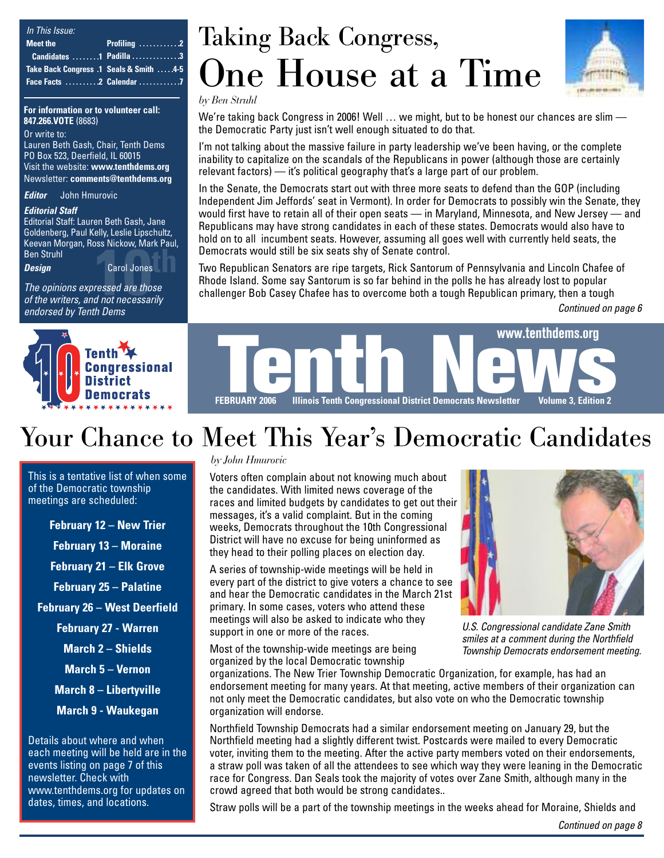| In This Issue:                                                                                                                   |                             |
|----------------------------------------------------------------------------------------------------------------------------------|-----------------------------|
| Meet the<br><b>Contract Contract Contract Contract Contract Contract Contract Contract Contract Contract Contract Contract C</b> | <b>Profiling</b> $\ldots$ 2 |
|                                                                                                                                  | Candidates 1 Padilla 3      |
| Take Back Congress .1 Seals & Smith 4-5                                                                                          |                             |
|                                                                                                                                  |                             |

**For information or to volunteer call: 847.266.VOTE** (8683)

Or write to: Lauren Beth Gash, Chair, Tenth Dems PO Box 523, Deerfield, IL 60015 Visit the website: **www.tenthdems.org**  Newsletter: **comments@tenthdems.org**

*Editor* John Hmurovic

#### *Editorial Staff*

Editorial Staff: Lauren Beth Gash, Jane Goldenberg, Paul Kelly, Leslie Lipschultz, Keevan Morgan, Ross Nickow, Mark Paul, Ben Struhl

*Design* Carol Jones

**10th**<br> **10th** Ben Struhl<br> **10th**<br> **10th** Carol Jones<br> **10th** Design<br> **10th** Carol Andre writers, and not necessarily *The opinions expressed are those endorsed by Tenth Dems*



## Taking Back Congress, One House at a Time



*by Ben Struhl*

We're taking back Congress in 2006! Well ... we might, but to be honest our chances are slim the Democratic Party just isn't well enough situated to do that.

I'm not talking about the massive failure in party leadership we've been having, or the complete inability to capitalize on the scandals of the Republicans in power (although those are certainly relevant factors) — it's political geography that's a large part of our problem.

In the Senate, the Democrats start out with three more seats to defend than the GOP (including Independent Jim Jeffords' seat in Vermont). In order for Democrats to possibly win the Senate, they would first have to retain all of their open seats — in Maryland, Minnesota, and New Jersey — and Republicans may have strong candidates in each of these states. Democrats would also have to hold on to all incumbent seats. However, assuming all goes well with currently held seats, the Democrats would still be six seats shy of Senate control.

Two Republican Senators are ripe targets, Rick Santorum of Pennsylvania and Lincoln Chafee of Rhode Island. Some say Santorum is so far behind in the polls he has already lost to popular challenger Bob Casey Chafee has to overcome both a tough Republican primary, then a tough

*Continued on page 6*



## Your Chance to Meet This Year's Democratic Candidates

This is a tentative list of when some of the Democratic township meetings are scheduled:

**February 12 – New Trier**

**February 13 – Moraine**

**February 21 – Elk Grove**

**February 25 – Palatine**

**February 26 – West Deerfield**

**February 27 - Warren**

**March 2 – Shields**

**March 5 – Vernon**

**March 8 – Libertyville**

**March 9 - Waukegan**

Details about where and when each meeting will be held are in the events listing on page 7 of this newsletter. Check with www.tenthdems.org for updates on dates, times, and locations.

#### *by John Hmurovic*

Voters often complain about not knowing much about the candidates. With limited news coverage of the races and limited budgets by candidates to get out their messages, it's a valid complaint. But in the coming weeks, Democrats throughout the 10th Congressional District will have no excuse for being uninformed as they head to their polling places on election day.

A series of township-wide meetings will be held in every part of the district to give voters a chance to see and hear the Democratic candidates in the March 21st primary. In some cases, voters who attend these meetings will also be asked to indicate who they support in one or more of the races.

Most of the township-wide meetings are being organized by the local Democratic township



*U.S. Congressional candidate Zane Smith smiles at a comment during the Northfield Township Democrats endorsement meeting.*

organizations. The New Trier Township Democratic Organization, for example, has had an endorsement meeting for many years. At that meeting, active members of their organization can not only meet the Democratic candidates, but also vote on who the Democratic township organization will endorse.

Northfield Township Democrats had a similar endorsement meeting on January 29, but the Northfield meeting had a slightly different twist. Postcards were mailed to every Democratic voter, inviting them to the meeting. After the active party members voted on their endorsements, a straw poll was taken of all the attendees to see which way they were leaning in the Democratic race for Congress. Dan Seals took the majority of votes over Zane Smith, although many in the crowd agreed that both would be strong candidates..

Straw polls will be a part of the township meetings in the weeks ahead for Moraine, Shields and

*Continued on page 8*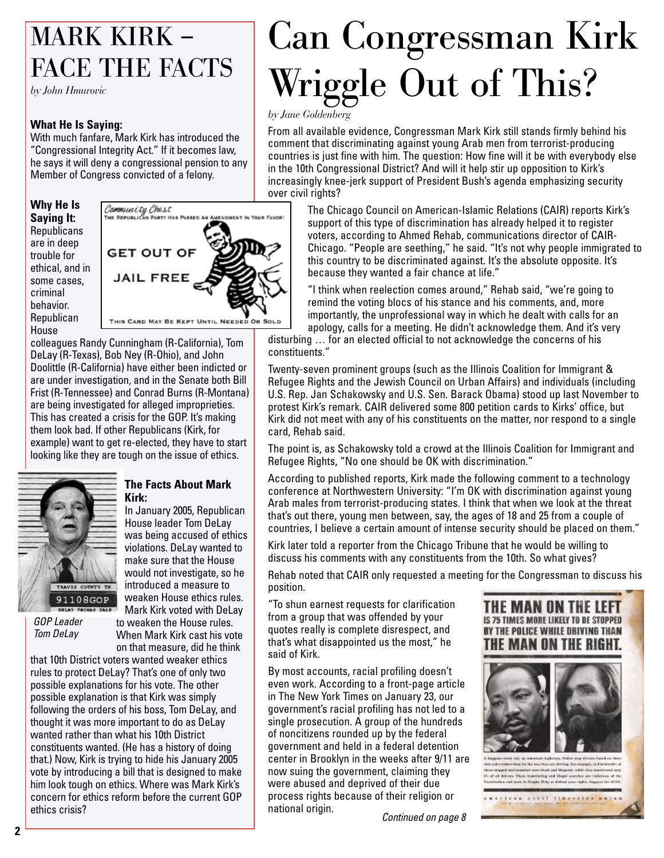## MARK KIRK – FACE THE FACTS

*by John Hmurovic*

#### **What He Is Saying:**

With much fanfare, Mark Kirk has introduced the "Congressional Integrity Act." If it becomes law, he says it will deny a congressional pension to any Member of Congress convicted of a felony.

**Why He Is Saying It: Republicans** are in deep trouble for ethical, and in some cases, criminal behavior. **Republican** House



colleagues Randy Cunningham (R-California), Tom DeLay (R-Texas), Bob Ney (R-Ohio), and John Doolittle (R-California) have either been indicted or are under investigation, and in the Senate both Bill Frist (R-Tennessee) and Conrad Burns (R-Montana) are being investigated for alleged improprieties. This has created a crisis for the GOP. It's making them look bad. If other Republicans (Kirk, for example) want to get re-elected, they have to start looking like they are tough on the issue of ethics.



*GOP Leader Tom DeLay*

#### **The Facts About Mark Kirk:**

In January 2005, Republican House leader Tom DeLay was being accused of ethics violations. DeLay wanted to make sure that the House would not investigate, so he introduced a measure to weaken House ethics rules. Mark Kirk voted with DeLay

to weaken the House rules. When Mark Kirk cast his vote on that measure, did he think

that 10th District voters wanted weaker ethics rules to protect DeLay? That's one of only two possible explanations for his vote. The other possible explanation is that Kirk was simply following the orders of his boss, Tom DeLay, and thought it was more important to do as DeLay wanted rather than what his 10th District constituents wanted. (He has a history of doing that.) Now, Kirk is trying to hide his January 2005 vote by introducing a bill that is designed to make him look tough on ethics. Where was Mark Kirk's concern for ethics reform before the current GOP ethics crisis? **Continued on page 8** actional origin. **Continued on page 8** 

## Can Congressman Kirk Wriggle Out of This?

*by Jane Goldenberg*

From all available evidence, Congressman Mark Kirk still stands firmly behind his comment that discriminating against young Arab men from terrorist-producing countries is just fine with him. The question: How fine will it be with everybody else in the 10th Congressional District? And will it help stir up opposition to Kirk's increasingly knee-jerk support of President Bush's agenda emphasizing security over civil rights?

> The Chicago Council on American-Islamic Relations (CAIR) reports Kirk's support of this type of discrimination has already helped it to register voters, according to Ahmed Rehab, communications director of CAIR-Chicago. "People are seething," he said. "It's not why people immigrated to this country to be discriminated against. It's the absolute opposite. It's because they wanted a fair chance at life."

"I think when reelection comes around," Rehab said, "we're going to remind the voting blocs of his stance and his comments, and, more importantly, the unprofessional way in which he dealt with calls for an apology, calls for a meeting. He didn't acknowledge them. And it's very

disturbing … for an elected official to not acknowledge the concerns of his constituents."

Twenty-seven prominent groups (such as the Illinois Coalition for Immigrant & Refugee Rights and the Jewish Council on Urban Affairs) and individuals (including U.S. Rep. Jan Schakowsky and U.S. Sen. Barack Obama) stood up last November to protest Kirk's remark. CAIR delivered some 800 petition cards to Kirks' office, but Kirk did not meet with any of his constituents on the matter, nor respond to a single card, Rehab said.

The point is, as Schakowsky told a crowd at the Illinois Coalition for Immigrant and Refugee Rights, "No one should be OK with discrimination."

According to published reports, Kirk made the following comment to a technology conference at Northwestern University: "I'm OK with discrimination against young Arab males from terrorist-producing states. I think that when we look at the threat that's out there, young men between, say, the ages of 18 and 25 from a couple of countries, I believe a certain amount of intense security should be placed on them."

Kirk later told a reporter from the Chicago Tribune that he would be willing to discuss his comments with any constituents from the 10th. So what gives?

Rehab noted that CAIR only requested a meeting for the Congressman to discuss his position.

"To shun earnest requests for clarification from a group that was offended by your quotes really is complete disrespect, and that's what disappointed us the most," he said of Kirk.

By most accounts, racial profiling doesn't even work. According to a front-page article in The New York Times on January 23, our government's racial profiling has not led to a single prosecution. A group of the hundreds of noncitizens rounded up by the federal government and held in a federal detention center in Brooklyn in the weeks after 9/11 are now suing the government, claiming they were abused and deprived of their due process rights because of their religion or national origin.





than the the way thay are driving. For example, in it! d new blisk and Hispanic, while they a .<br>15 of all drivers These konclusing and Chapel sourches are violations of the<br>Toustinative and was to funghi. Urby as drived your rights, Support the ACLO *MARINAR AIVIT TENAPEERS BALK*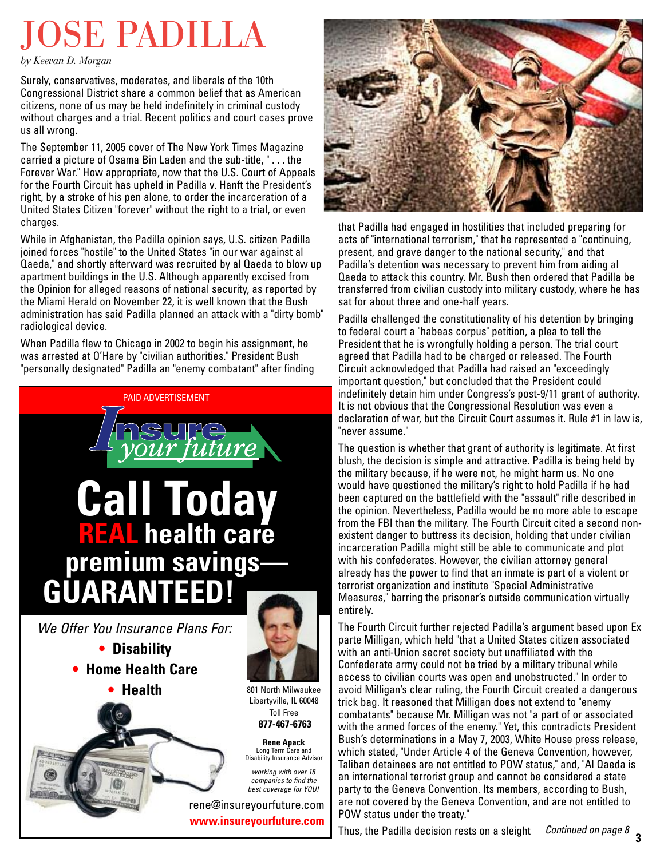## JOSE PADILLA

*by Keevan D. Morgan*

Surely, conservatives, moderates, and liberals of the 10th Congressional District share a common belief that as American citizens, none of us may be held indefinitely in criminal custody without charges and a trial. Recent politics and court cases prove us all wrong.

The September 11, 2005 cover of The New York Times Magazine carried a picture of Osama Bin Laden and the sub-title, " . . . the Forever War." How appropriate, now that the U.S. Court of Appeals for the Fourth Circuit has upheld in Padilla v. Hanft the President's right, by a stroke of his pen alone, to order the incarceration of a United States Citizen "forever" without the right to a trial, or even charges.

While in Afghanistan, the Padilla opinion says, U.S. citizen Padilla joined forces "hostile" to the United States "in our war against al Qaeda," and shortly afterward was recruited by al Qaeda to blow up apartment buildings in the U.S. Although apparently excised from the Opinion for alleged reasons of national security, as reported by the Miami Herald on November 22, it is well known that the Bush administration has said Padilla planned an attack with a "dirty bomb" radiological device.

When Padilla flew to Chicago in 2002 to begin his assignment, he was arrested at O'Hare by "civilian authorities." President Bush "personally designated" Padilla an "enemy combatant" after finding





that Padilla had engaged in hostilities that included preparing for acts of "international terrorism," that he represented a "continuing, present, and grave danger to the national security," and that Padilla's detention was necessary to prevent him from aiding al Qaeda to attack this country. Mr. Bush then ordered that Padilla be transferred from civilian custody into military custody, where he has sat for about three and one-half years.

Padilla challenged the constitutionality of his detention by bringing to federal court a "habeas corpus" petition, a plea to tell the President that he is wrongfully holding a person. The trial court agreed that Padilla had to be charged or released. The Fourth Circuit acknowledged that Padilla had raised an "exceedingly important question," but concluded that the President could indefinitely detain him under Congress's post-9/11 grant of authority. It is not obvious that the Congressional Resolution was even a declaration of war, but the Circuit Court assumes it. Rule #1 in law is, "never assume."

The question is whether that grant of authority is legitimate. At first blush, the decision is simple and attractive. Padilla is being held by the military because, if he were not, he might harm us. No one would have questioned the military's right to hold Padilla if he had been captured on the battlefield with the "assault" rifle described in the opinion. Nevertheless, Padilla would be no more able to escape from the FBI than the military. The Fourth Circuit cited a second nonexistent danger to buttress its decision, holding that under civilian incarceration Padilla might still be able to communicate and plot with his confederates. However, the civilian attorney general already has the power to find that an inmate is part of a violent or terrorist organization and institute "Special Administrative Measures," barring the prisoner's outside communication virtually entirely.

The Fourth Circuit further rejected Padilla's argument based upon Ex parte Milligan, which held "that a United States citizen associated with an anti-Union secret society but unaffiliated with the Confederate army could not be tried by a military tribunal while access to civilian courts was open and unobstructed." In order to avoid Milligan's clear ruling, the Fourth Circuit created a dangerous trick bag. It reasoned that Milligan does not extend to "enemy combatants" because Mr. Milligan was not "a part of or associated with the armed forces of the enemy." Yet, this contradicts President Bush's determinations in a May 7, 2003, White House press release, which stated, "Under Article 4 of the Geneva Convention, however, Taliban detainees are not entitled to POW status," and, "Al Qaeda is an international terrorist group and cannot be considered a state party to the Geneva Convention. Its members, according to Bush, are not covered by the Geneva Convention, and are not entitled to POW status under the treaty."

Thus, the Padilla decision rests on a sleight **<sup>3</sup>** *Continued on page 8*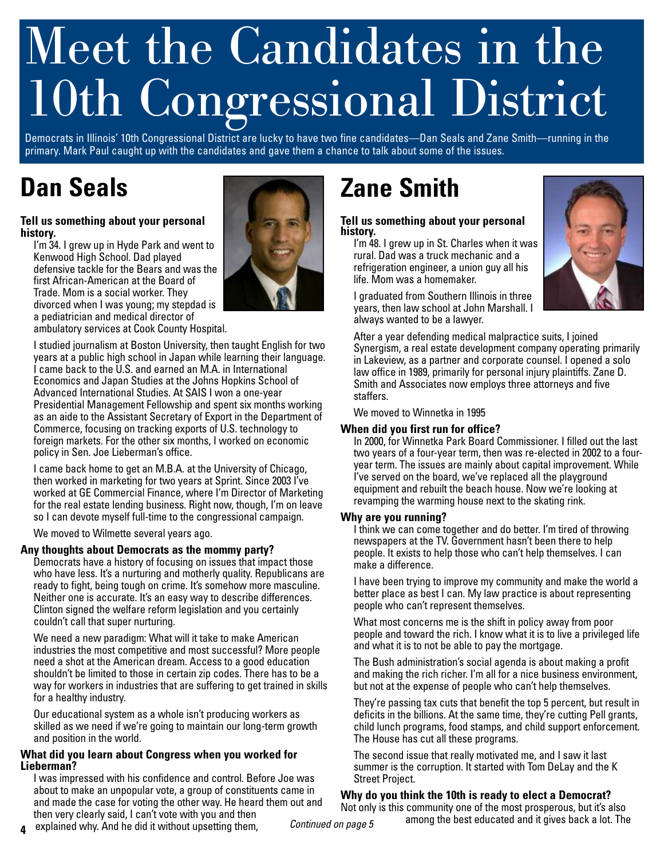# Meet the Candidates in the 10th Congressional District

Democrats in Illinois' 10th Congressional District are lucky to have two fine candidates—Dan Seals and Zane Smith—running in the primary. Mark Paul caught up with the candidates and gave them a chance to talk about some of the issues.

## **Dan Seals**

#### **Tell us something about your personal history.**

I'm 34. I grew up in Hyde Park and went to Kenwood High School. Dad played defensive tackle for the Bears and was the first African-American at the Board of Trade. Mom is a social worker. They divorced when I was young; my stepdad is a pediatrician and medical director of ambulatory services at Cook County Hospital.

I studied journalism at Boston University, then taught English for two years at a public high school in Japan while learning their language. I came back to the U.S. and earned an M.A. in International Economics and Japan Studies at the Johns Hopkins School of Advanced International Studies. At SAIS I won a one-year Presidential Management Fellowship and spent six months working as an aide to the Assistant Secretary of Export in the Department of Commerce, focusing on tracking exports of U.S. technology to foreign markets. For the other six months, I worked on economic policy in Sen. Joe Lieberman's office.

I came back home to get an M.B.A. at the University of Chicago, then worked in marketing for two years at Sprint. Since 2003 I've worked at GE Commercial Finance, where I'm Director of Marketing for the real estate lending business. Right now, though, I'm on leave so I can devote myself full-time to the congressional campaign.

We moved to Wilmette several years ago.

#### **Any thoughts about Democrats as the mommy party?**

Democrats have a history of focusing on issues that impact those who have less. It's a nurturing and motherly quality. Republicans are ready to fight, being tough on crime. It's somehow more masculine. Neither one is accurate. It's an easy way to describe differences. Clinton signed the welfare reform legislation and you certainly couldn't call that super nurturing.

We need a new paradigm: What will it take to make American industries the most competitive and most successful? More people need a shot at the American dream. Access to a good education shouldn't be limited to those in certain zip codes. There has to be a way for workers in industries that are suffering to get trained in skills for a healthy industry.

Our educational system as a whole isn't producing workers as skilled as we need if we're going to maintain our long-term growth and position in the world.

#### **What did you learn about Congress when you worked for Lieberman?**

I was impressed with his confidence and control. Before Joe was about to make an unpopular vote, a group of constituents came in and made the case for voting the other way. He heard them out and then very clearly said, I can't vote with you and then

## **Zane Smith**

#### **Tell us something about your personal history.**

I'm 48. I grew up in St. Charles when it was rural. Dad was a truck mechanic and a refrigeration engineer, a union guy all his life. Mom was a homemaker.

I graduated from Southern Illinois in three years, then law school at John Marshall. I always wanted to be a lawyer.



After a year defending medical malpractice suits, I joined Synergism, a real estate development company operating primarily in Lakeview, as a partner and corporate counsel. I opened a solo law office in 1989, primarily for personal injury plaintiffs. Zane D. Smith and Associates now employs three attorneys and five staffers.

We moved to Winnetka in 1995

#### **When did you first run for office?**

In 2000, for Winnetka Park Board Commissioner. I filled out the last two years of a four-year term, then was re-elected in 2002 to a fouryear term. The issues are mainly about capital improvement. While I've served on the board, we've replaced all the playground equipment and rebuilt the beach house. Now we're looking at revamping the warming house next to the skating rink.

#### **Why are you running?**

I think we can come together and do better. I'm tired of throwing newspapers at the TV. Government hasn't been there to help people. It exists to help those who can't help themselves. I can make a difference.

I have been trying to improve my community and make the world a better place as best I can. My law practice is about representing people who can't represent themselves.

What most concerns me is the shift in policy away from poor people and toward the rich. I know what it is to live a privileged life and what it is to not be able to pay the mortgage.

The Bush administration's social agenda is about making a profit and making the rich richer. I'm all for a nice business environment, but not at the expense of people who can't help themselves.

They're passing tax cuts that benefit the top 5 percent, but result in deficits in the billions. At the same time, they're cutting Pell grants, child lunch programs, food stamps, and child support enforcement. The House has cut all these programs.

The second issue that really motivated me, and I saw it last summer is the corruption. It started with Tom DeLay and the K Street Project.

#### **Why do you think the 10th is ready to elect a Democrat?**

among the best educated and it gives back a lot. The **and the induced and it gives back a** lot. The explained why. And he did it without upsetting them, *Continued on page 5* among the best educated and it gives back a lot Not only is this community one of the most prosperous, but it's also<br>n nege  $\epsilon$  among the best educated and it gives back a lot. The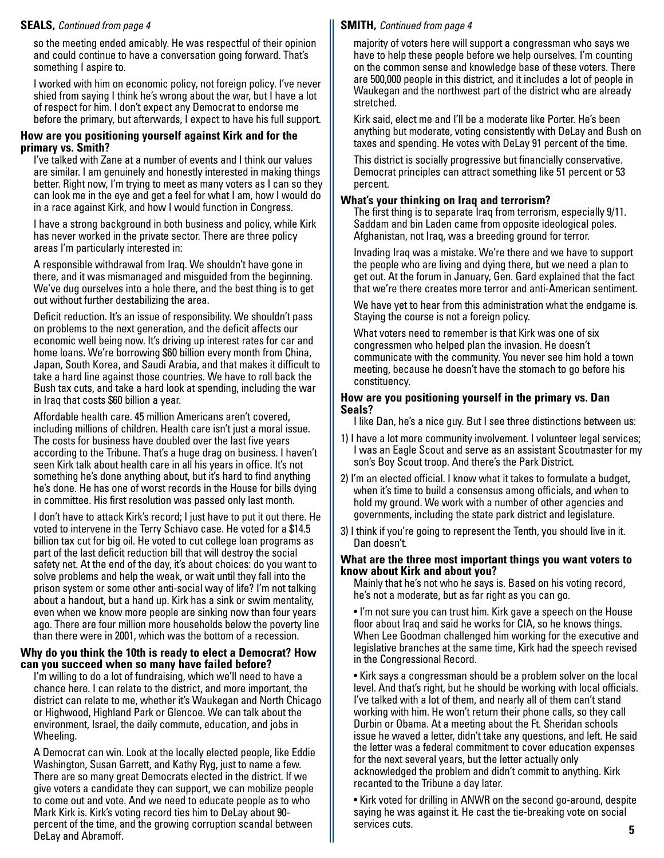so the meeting ended amicably. He was respectful of their opinion and could continue to have a conversation going forward. That's something I aspire to.

I worked with him on economic policy, not foreign policy. I've never shied from saying I think he's wrong about the war, but I have a lot of respect for him. I don't expect any Democrat to endorse me before the primary, but afterwards, I expect to have his full support.

#### **How are you positioning yourself against Kirk and for the primary vs. Smith?**

I've talked with Zane at a number of events and I think our values are similar. I am genuinely and honestly interested in making things better. Right now, I'm trying to meet as many voters as I can so they can look me in the eye and get a feel for what I am, how I would do in a race against Kirk, and how I would function in Congress.

I have a strong background in both business and policy, while Kirk has never worked in the private sector. There are three policy areas I'm particularly interested in:

A responsible withdrawal from Iraq. We shouldn't have gone in there, and it was mismanaged and misguided from the beginning. We've dug ourselves into a hole there, and the best thing is to get out without further destabilizing the area.

Deficit reduction. It's an issue of responsibility. We shouldn't pass on problems to the next generation, and the deficit affects our economic well being now. It's driving up interest rates for car and home loans. We're borrowing \$60 billion every month from China, Japan, South Korea, and Saudi Arabia, and that makes it difficult to take a hard line against those countries. We have to roll back the Bush tax cuts, and take a hard look at spending, including the war in Iraq that costs \$60 billion a year.

Affordable health care. 45 million Americans aren't covered, including millions of children. Health care isn't just a moral issue. The costs for business have doubled over the last five years according to the Tribune. That's a huge drag on business. I haven't seen Kirk talk about health care in all his years in office. It's not something he's done anything about, but it's hard to find anything he's done. He has one of worst records in the House for bills dying in committee. His first resolution was passed only last month.

I don't have to attack Kirk's record; I just have to put it out there. He voted to intervene in the Terry Schiavo case. He voted for a \$14.5 billion tax cut for big oil. He voted to cut college loan programs as part of the last deficit reduction bill that will destroy the social safety net. At the end of the day, it's about choices: do you want to solve problems and help the weak, or wait until they fall into the prison system or some other anti-social way of life? I'm not talking about a handout, but a hand up. Kirk has a sink or swim mentality, even when we know more people are sinking now than four years ago. There are four million more households below the poverty line than there were in 2001, which was the bottom of a recession.

#### **Why do you think the 10th is ready to elect a Democrat? How can you succeed when so many have failed before?**

I'm willing to do a lot of fundraising, which we'll need to have a chance here. I can relate to the district, and more important, the district can relate to me, whether it's Waukegan and North Chicago or Highwood, Highland Park or Glencoe. We can talk about the environment, Israel, the daily commute, education, and jobs in Wheeling.

A Democrat can win. Look at the locally elected people, like Eddie Washington, Susan Garrett, and Kathy Ryg, just to name a few. There are so many great Democrats elected in the district. If we give voters a candidate they can support, we can mobilize people to come out and vote. And we need to educate people as to who Mark Kirk is. Kirk's voting record ties him to DeLay about 90 percent of the time, and the growing corruption scandal between DeLay and Abramoff.

### **SEALS,** *Continued from page 4* **SMITH,** *Continued from page 4*

majority of voters here will support a congressman who says we have to help these people before we help ourselves. I'm counting on the common sense and knowledge base of these voters. There are 500,000 people in this district, and it includes a lot of people in Waukegan and the northwest part of the district who are already stretched.

Kirk said, elect me and I'll be a moderate like Porter. He's been anything but moderate, voting consistently with DeLay and Bush on taxes and spending. He votes with DeLay 91 percent of the time.

This district is socially progressive but financially conservative. Democrat principles can attract something like 51 percent or 53 percent.

### **What's your thinking on Iraq and terrorism?**

The first thing is to separate Iraq from terrorism, especially 9/11. Saddam and bin Laden came from opposite ideological poles. Afghanistan, not Iraq, was a breeding ground for terror.

Invading Iraq was a mistake. We're there and we have to support the people who are living and dying there, but we need a plan to get out. At the forum in January, Gen. Gard explained that the fact that we're there creates more terror and anti-American sentiment.

We have yet to hear from this administration what the endgame is. Staying the course is not a foreign policy.

What voters need to remember is that Kirk was one of six congressmen who helped plan the invasion. He doesn't communicate with the community. You never see him hold a town meeting, because he doesn't have the stomach to go before his constituency.

#### **How are you positioning yourself in the primary vs. Dan Seals?**

I like Dan, he's a nice guy. But I see three distinctions between us:

- 1) I have a lot more community involvement. I volunteer legal services; I was an Eagle Scout and serve as an assistant Scoutmaster for my son's Boy Scout troop. And there's the Park District.
- 2) I'm an elected official. I know what it takes to formulate a budget, when it's time to build a consensus among officials, and when to hold my ground. We work with a number of other agencies and governments, including the state park district and legislature.
- 3) I think if you're going to represent the Tenth, you should live in it. Dan doesn't.

#### **What are the three most important things you want voters to know about Kirk and about you?**

Mainly that he's not who he says is. Based on his voting record, he's not a moderate, but as far right as you can go.

• I'm not sure you can trust him. Kirk gave a speech on the House floor about Iraq and said he works for CIA, so he knows things. When Lee Goodman challenged him working for the executive and legislative branches at the same time, Kirk had the speech revised in the Congressional Record.

• Kirk says a congressman should be a problem solver on the local level. And that's right, but he should be working with local officials. I've talked with a lot of them, and nearly all of them can't stand working with him. He won't return their phone calls, so they call Durbin or Obama. At a meeting about the Ft. Sheridan schools issue he waved a letter, didn't take any questions, and left. He said the letter was a federal commitment to cover education expenses for the next several years, but the letter actually only acknowledged the problem and didn't commit to anything. Kirk recanted to the Tribune a day later.

• Kirk voted for drilling in ANWR on the second go-around, despite saying he was against it. He cast the tie-breaking vote on social services cuts. **5**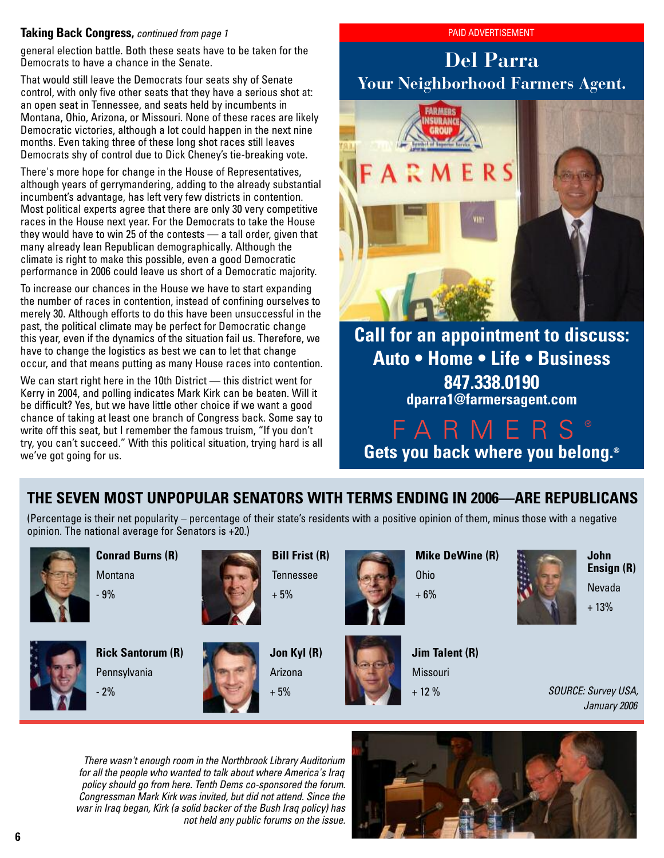#### **Taking Back Congress,** *continued from page 1* PAID ADVERTISEMENT

general election battle. Both these seats have to be taken for the Democrats to have a chance in the Senate.

That would still leave the Democrats four seats shy of Senate control, with only five other seats that they have a serious shot at: an open seat in Tennessee, and seats held by incumbents in Montana, Ohio, Arizona, or Missouri. None of these races are likely Democratic victories, although a lot could happen in the next nine months. Even taking three of these long shot races still leaves Democrats shy of control due to Dick Cheney's tie-breaking vote.

There's more hope for change in the House of Representatives, although years of gerrymandering, adding to the already substantial incumbent's advantage, has left very few districts in contention. Most political experts agree that there are only 30 very competitive races in the House next year. For the Democrats to take the House they would have to win 25 of the contests — a tall order, given that many already lean Republican demographically. Although the climate is right to make this possible, even a good Democratic performance in 2006 could leave us short of a Democratic majority.

To increase our chances in the House we have to start expanding the number of races in contention, instead of confining ourselves to merely 30. Although efforts to do this have been unsuccessful in the past, the political climate may be perfect for Democratic change this year, even if the dynamics of the situation fail us. Therefore, we have to change the logistics as best we can to let that change occur, and that means putting as many House races into contention.

We can start right here in the 10th District — this district went for Kerry in 2004, and polling indicates Mark Kirk can be beaten. Will it be difficult? Yes, but we have little other choice if we want a good chance of taking at least one branch of Congress back. Some say to write off this seat, but I remember the famous truism, "If you don't try, you can't succeed." With this political situation, trying hard is all we've got going for us.

### **Del Parra Your Neighborhood Farmers Agent.**



**Auto • Home • Life • Business 847.338.0190 dparra1@farmersagent.com**

ARME **Gets you back where you belong.®**

### **THE SEVEN MOST UNPOPULAR SENATORS WITH TERMS ENDING IN 2006—ARE REPUBLICANS**

(Percentage is their net popularity – percentage of their state's residents with a positive opinion of them, minus those with a negative opinion. The national average for Senators is +20.)

> **Bill Frist (R)** Tennessee



**Conrad Burns (R)** Montana



- 9%





**Jon Kyl (R)** Arizona + 5%





**Mike DeWine (R)** Ohio

+ 6%



**John Ensign (R)** Nevada + 13%

**Jim Talent (R)** Missouri + 12 %



*There wasn't enough room in the Northbrook Library Auditorium for all the people who wanted to talk about where America's Iraq policy should go from here. Tenth Dems co-sponsored the forum. Congressman Mark Kirk was invited, but did not attend. Since the war in Iraq began, Kirk (a solid backer of the Bush Iraq policy) has not held any public forums on the issue.*

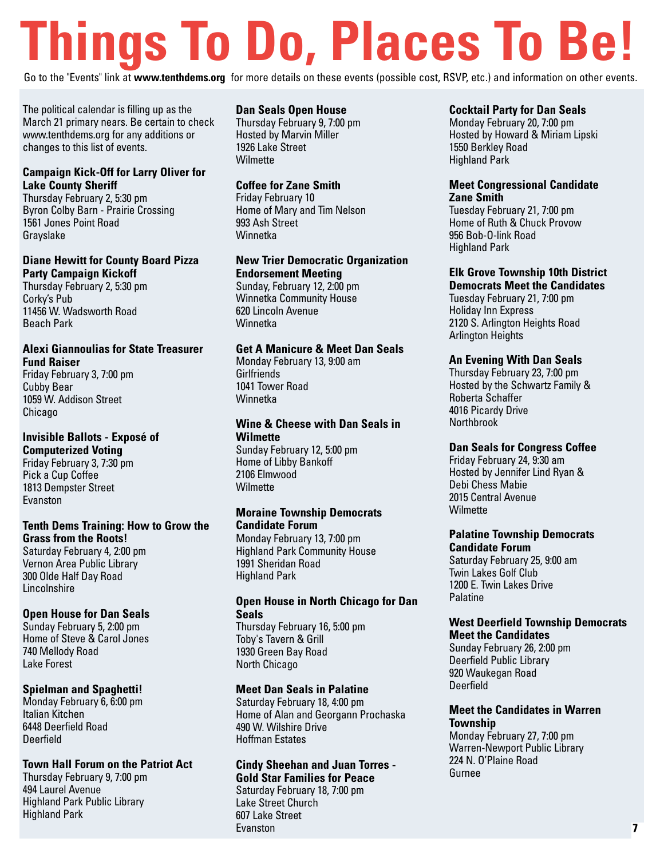# **Things To Do, Places To Be!**

Go to the "Events" link at **www.tenthdems.org** for more details on these events (possible cost, RSVP, etc.) and information on other events.

The political calendar is filling up as the March 21 primary nears. Be certain to check www.tenthdems.org for any additions or changes to this list of events.

#### **Campaign Kick-Off for Larry Oliver for Lake County Sheriff**

Thursday February 2, 5:30 pm Byron Colby Barn - Prairie Crossing 1561 Jones Point Road Grayslake

#### **Diane Hewitt for County Board Pizza Party Campaign Kickoff**

Thursday February 2, 5:30 pm Corky's Pub 11456 W. Wadsworth Road Beach Park

#### **Alexi Giannoulias for State Treasurer Fund Raiser**

Friday February 3, 7:00 pm Cubby Bear 1059 W. Addison Street Chicago

#### **Invisible Ballots - Exposé of Computerized Voting**

Friday February 3, 7:30 pm Pick a Cup Coffee 1813 Dempster Street Evanston

#### **Tenth Dems Training: How to Grow the Grass from the Roots!**

Saturday February 4, 2:00 pm Vernon Area Public Library 300 Olde Half Day Road **Lincolnshire** 

#### **Open House for Dan Seals**

Sunday February 5, 2:00 pm Home of Steve & Carol Jones 740 Mellody Road Lake Forest

#### **Spielman and Spaghetti!**

Monday February 6, 6:00 pm Italian Kitchen 6448 Deerfield Road Deerfield

#### **Town Hall Forum on the Patriot Act**

Thursday February 9, 7:00 pm 494 Laurel Avenue Highland Park Public Library Highland Park

#### **Dan Seals Open House**

Thursday February 9, 7:00 pm Hosted by Marvin Miller 1926 Lake Street **Wilmette** 

#### **Coffee for Zane Smith**

Friday February 10 Home of Mary and Tim Nelson 993 Ash Street Winnetka

#### **New Trier Democratic Organization Endorsement Meeting**

Sunday, February 12, 2:00 pm Winnetka Community House 620 Lincoln Avenue Winnetka

#### **Get A Manicure & Meet Dan Seals**

Monday February 13, 9:00 am **Girlfriends** 1041 Tower Road Winnetka

#### **Wine & Cheese with Dan Seals in Wilmette**

Sunday February 12, 5:00 pm Home of Libby Bankoff 2106 Elmwood **Wilmette** 

#### **Moraine Township Democrats Candidate Forum**

Monday February 13, 7:00 pm Highland Park Community House 1991 Sheridan Road Highland Park

#### **Open House in North Chicago for Dan Seals**

Thursday February 16, 5:00 pm Toby's Tavern & Grill 1930 Green Bay Road North Chicago

#### **Meet Dan Seals in Palatine**

Saturday February 18, 4:00 pm Home of Alan and Georgann Prochaska 490 W. Wilshire Drive Hoffman Estates

#### **Cindy Sheehan and Juan Torres - Gold Star Families for Peace**

Saturday February 18, 7:00 pm Lake Street Church 607 Lake Street Evanston

#### **Cocktail Party for Dan Seals**

Monday February 20, 7:00 pm Hosted by Howard & Miriam Lipski 1550 Berkley Road Highland Park

#### **Meet Congressional Candidate Zane Smith**

Tuesday February 21, 7:00 pm Home of Ruth & Chuck Provow 956 Bob-O-link Road Highland Park

#### **Elk Grove Township 10th District Democrats Meet the Candidates**

Tuesday February 21, 7:00 pm Holiday Inn Express 2120 S. Arlington Heights Road Arlington Heights

#### **An Evening With Dan Seals**

Thursday February 23, 7:00 pm Hosted by the Schwartz Family & Roberta Schaffer 4016 Picardy Drive Northbrook

#### **Dan Seals for Congress Coffee**

Friday February 24, 9:30 am Hosted by Jennifer Lind Ryan & Debi Chess Mabie 2015 Central Avenue **Wilmette** 

#### **Palatine Township Democrats Candidate Forum**

Saturday February 25, 9:00 am Twin Lakes Golf Club 1200 E. Twin Lakes Drive Palatine

#### **West Deerfield Township Democrats Meet the Candidates**

Sunday February 26, 2:00 pm Deerfield Public Library 920 Waukegan Road Deerfield

#### **Meet the Candidates in Warren Township**

Monday February 27, 7:00 pm Warren-Newport Public Library 224 N. O'Plaine Road Gurnee